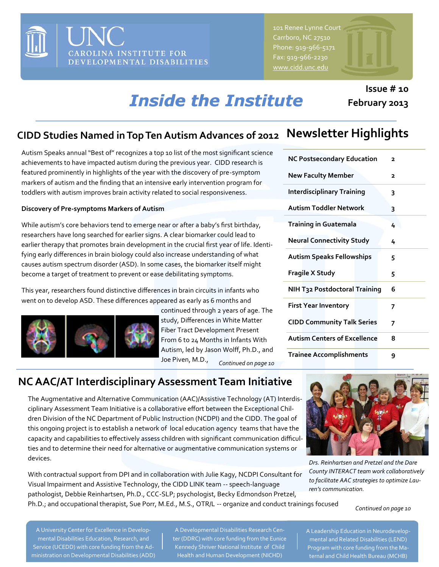

Carrboro, NC 27510 Phone: 919-966-5171 Fax: 919-966-2230 [www.cidd.unc.edu](http://www.cidd.unc.edu/)

#### **Issue # 10 February 2013**

# *Inside the Institute*

### **Newsletter Highlights CIDD Studies Named in Top Ten Autism Advances of 2012**

Autism Speaks annual "Best of" recognizes a top 10 list of the most significant science achievements to have impacted autism during the previous year. CIDD research is featured prominently in highlights of the year with the discovery of pre-symptom markers of autism and the finding that an intensive early intervention program for toddlers with autism improves brain activity related to social responsiveness.

#### **Discovery of Pre-symptoms Markers of Autism**

While autism's core behaviors tend to emerge near or after a baby's first birthday, researchers have long searched for earlier signs. A clear biomarker could lead to earlier therapy that promotes brain development in the crucial first year of life. Identifying early differences in brain biology could also increase understanding of what causes autism spectrum disorder (ASD). In some cases, the biomarker itself might become a target of treatment to prevent or ease debilitating symptoms.

This year, researchers found distinctive differences in brain circuits in infants who went on to develop ASD. These differences appeared as early as 6 months and



continued through 2 years of age. The study, Differences in White Matter Fiber Tract Development Present From 6 to 24 Months in Infants With Autism, led by Jason Wolff, Ph.D., and Joe Piven, M.D., *Continued on page 10*

# **NC Postsecondary Education 2 New Faculty Member 2 Interdisciplinary Training 3 Autism Toddler Network 3**

| Training in Guatemala                | 4              |
|--------------------------------------|----------------|
| <b>Neural Connectivity Study</b>     | 4              |
| <b>Autism Speaks Fellowships</b>     | 5              |
| <b>Fragile X Study</b>               | 5              |
| <b>NIH T32 Postdoctoral Training</b> | 6              |
| <b>First Year Inventory</b>          | 7              |
| <b>CIDD Community Talk Series</b>    | $\overline{ }$ |
| <b>Autism Centers of Excellence</b>  | 8              |
| Trainee Accomplishments              | 9              |

#### **NC AAC/AT Interdisciplinary Assessment Team Initiative**

The Augmentative and Alternative Communication (AAC)/Assistive Technology (AT) Interdisciplinary Assessment Team Initiative is a collaborative effort between the Exceptional Children Division of the NC Department of Public Instruction (NCDPI) and the CIDD. The goal of this ongoing project is to establish a network of local education agency teams that have the capacity and capabilities to effectively assess children with significant communication difficulties and to determine their need for alternative or augmentative communication systems or devices.

With contractual support from DPI and in collaboration with Julie Kagy, NCDPI Consultant for Visual Impairment and Assistive Technology, the CIDD LINK team -- speech-language pathologist, Debbie Reinhartsen, Ph.D., CCC-SLP; psychologist, Becky Edmondson Pretzel, Ph.D.; and occupational therapist, Sue Porr, M.Ed., M.S., OTR/L -- organize and conduct trainings focused



*Drs. Reinhartsen and Pretzel and the Dare County INTERACT team work collaboratively to facilitate AAC strategies to optimize Lauren's communication.*

#### *Continued on page 10*

A University Center for Excellence in Developmental Disabilities Education, Research, and Service (UCEDD) with core funding from the Administration on Developmental Disabilities (ADD)

A Developmental Disabilities Research Center (DDRC) with core funding from the Eunice Kennedy Shriver National Institute of Child Health and Human Development (NICHD)

A Leadership Education in Neurodevelopmental and Related Disabilities (LEND) Program with core funding from the Maternal and Child Health Bureau (MCHB)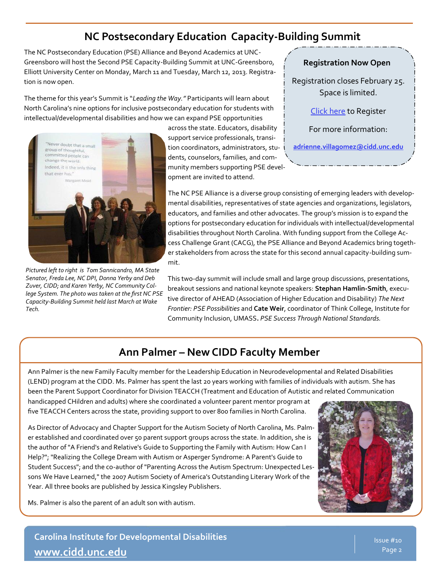#### **NC Postsecondary Education Capacity-Building Summit**

The NC Postsecondary Education (PSE) Alliance and Beyond Academics at UNC-Greensboro will host the Second PSE Capacity-Building Summit at UNC-Greensboro, Elliott University Center on Monday, March 11 and Tuesday, March 12, 2013. Registration is now open.

The theme for this year's Summit is "*Leading the Way."* Participants will learn about North Carolina's nine options for inclusive postsecondary education for students with intellectual/developmental disabilities and how we can expand PSE opportunities



*Pictured left to right is Tom Sannicandro, MA State Senator, Freda Lee, NC DPI, Donna Yerby and Deb Zuver, CIDD; and Karen Yerby, NC Community College System. The photo was taken at the first NC PSE Capacity-Building Summit held last March at Wake Tech.*

across the state. Educators, disability support service professionals, transition coordinators, administrators, students, counselors, families, and community members supporting PSE development are invited to attend.

**Registration Now Open**

Registration closes February 25. Space is limited.

[Click here](https://apps.research.unc.edu/events/index.cfm?event=events.eventDetails&event_key=6AB73AECC0CA1F411C74F7CEA87F80B70714C245) to Register

For more information:

**[adrienne.villagomez@cidd.unc.edu](mailto:adrienne.villagomez@cidd.unc.edu)**

The NC PSE Alliance is a diverse group consisting of emerging leaders with developmental disabilities, representatives of state agencies and organizations, legislators, educators, and families and other advocates. The group's mission is to expand the options for postsecondary education for individuals with intellectual/developmental disabilities throughout North Carolina. With funding support from the College Access Challenge Grant (CACG), the PSE Alliance and Beyond Academics bring together stakeholders from across the state for this second annual capacity-building summit.

This two-day summit will include small and large group discussions, presentations, breakout sessions and national keynote speakers: **Stephan Hamlin-Smith**, executive director of AHEAD (Association of Higher Education and Disability) *The Next Frontier: PSE Possibilities* and **Cate Weir**, coordinator of Think College, Institute for Community Inclusion, UMASS**.** *PSE Success Through National Standards.*

#### **Ann Palmer – New CIDD Faculty Member**

Ann Palmer is the new Family Faculty member for the Leadership Education in Neurodevelopmental and Related Disabilities (LEND) program at the CIDD. Ms. Palmer has spent the last 20 years working with families of individuals with autism. She has been the Parent Support Coordinator for Division TEACCH (Treatment and Education of Autistic and related Communication

handicapped CHildren and adults) where she coordinated a volunteer parent mentor program at five TEACCH Centers across the state, providing support to over 800 families in North Carolina.

As Director of Advocacy and Chapter Support for the Autism Society of North Carolina, Ms. Palmer established and coordinated over 50 parent support groups across the state. In addition, she is the author of "A Friend's and Relative's Guide to Supporting the Family with Autism: How Can I Help?"; "Realizing the College Dream with Autism or Asperger Syndrome: A Parent's Guide to Student Success"; and the co-author of "Parenting Across the Autism Spectrum: Unexpected Lessons We Have Learned," the 2007 Autism Society of America's Outstanding Literary Work of the Year. All three books are published by Jessica Kingsley Publishers.





**Carolina Institute for Developmental Disabilities [www.cidd.unc.edu](http://www.cidd.unc.edu/)**

Issue #10 Page 2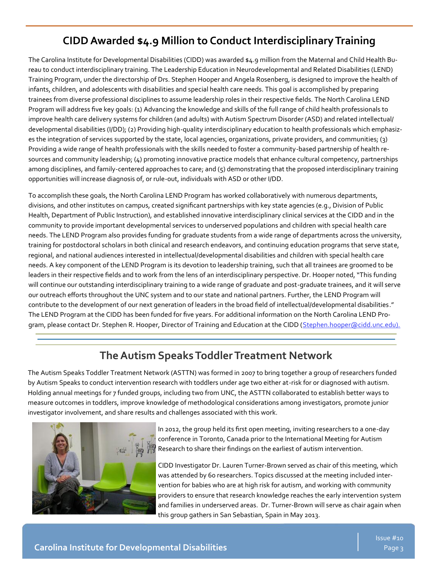#### **CIDD Awarded \$4.9 Million to Conduct Interdisciplinary Training**

The Carolina Institute for Developmental Disabilities (CIDD) was awarded \$4.9 million from the Maternal and Child Health Bureau to conduct interdisciplinary training. The Leadership Education in Neurodevelopmental and Related Disabilities (LEND) Training Program, under the directorship of Drs. Stephen Hooper and Angela Rosenberg, is designed to improve the health of infants, children, and adolescents with disabilities and special health care needs. This goal is accomplished by preparing trainees from diverse professional disciplines to assume leadership roles in their respective fields. The North Carolina LEND Program will address five key goals: (1) Advancing the knowledge and skills of the full range of child health professionals to improve health care delivery systems for children (and adults) with Autism Spectrum Disorder (ASD) and related intellectual/ developmental disabilities (I/DD); (2) Providing high-quality interdisciplinary education to health professionals which emphasizes the integration of services supported by the state, local agencies, organizations, private providers, and communities; (3) Providing a wide range of health professionals with the skills needed to foster a community-based partnership of health resources and community leadership; (4) promoting innovative practice models that enhance cultural competency, partnerships among disciplines, and family-centered approaches to care; and (5) demonstrating that the proposed interdisciplinary training opportunities will increase diagnosis of, or rule-out, individuals with ASD or other I/DD.

To accomplish these goals, the North Carolina LEND Program has worked collaboratively with numerous departments, divisions, and other institutes on campus, created significant partnerships with key state agencies (e.g., Division of Public Health, Department of Public Instruction), and established innovative interdisciplinary clinical services at the CIDD and in the community to provide important developmental services to underserved populations and children with special health care needs. The LEND Program also provides funding for graduate students from a wide range of departments across the university, training for postdoctoral scholars in both clinical and research endeavors, and continuing education programs that serve state, regional, and national audiences interested in intellectual/developmental disabilities and children with special health care needs. A key component of the LEND Program is its devotion to leadership training, such that all trainees are groomed to be leaders in their respective fields and to work from the lens of an interdisciplinary perspective. Dr. Hooper noted, "This funding will continue our outstanding interdisciplinary training to a wide range of graduate and post-graduate trainees, and it will serve our outreach efforts throughout the UNC system and to our state and national partners. Further, the LEND Program will contribute to the development of our next generation of leaders in the broad field of intellectual/developmental disabilities." The LEND Program at the CIDD has been funded for five years. For additional information on the North Carolina LEND Program, please contact Dr. Stephen R. Hooper, Director of Training and Education at the CIDD ([Stephen.hooper@cidd.unc.edu\).](mailto:Stephen.hooper@cidd.unc.edU?subject=LEND%20Program)

#### **The Autism Speaks Toddler Treatment Network**

The Autism Speaks Toddler Treatment Network (ASTTN) was formed in 2007 to bring together a group of researchers funded by Autism Speaks to conduct intervention research with toddlers under age two either at-risk for or diagnosed with autism. Holding annual meetings for 7 funded groups, including two from UNC, the ASTTN collaborated to establish better ways to measure outcomes in toddlers, improve knowledge of methodological considerations among investigators, promote junior investigator involvement, and share results and challenges associated with this work.



In 2012, the group held its first open meeting, inviting researchers to a one-day conference in Toronto, Canada prior to the International Meeting for Autism Research to share their findings on the earliest of autism intervention.

CIDD Investigator Dr. Lauren Turner-Brown served as chair of this meeting, which was attended by 60 researchers. Topics discussed at the meeting included intervention for babies who are at high risk for autism, and working with community providers to ensure that research knowledge reaches the early intervention system and families in underserved areas. Dr. Turner-Brown will serve as chair again when this group gathers in San Sebastian, Spain in May 2013.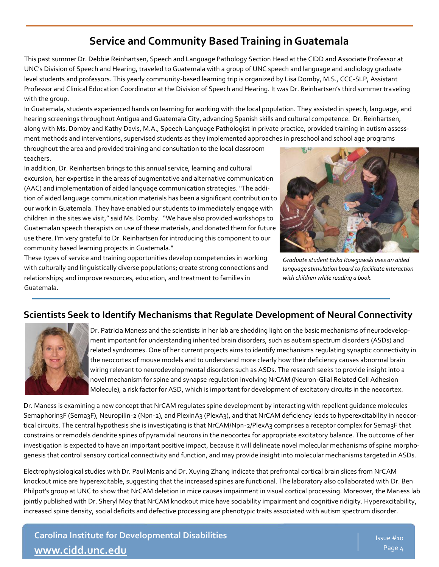#### **Service and Community Based Training in Guatemala**

This past summer Dr. Debbie Reinhartsen, Speech and Language Pathology Section Head at the CIDD and Associate Professor at UNC's Division of Speech and Hearing, traveled to Guatemala with a group of UNC speech and language and audiology graduate level students and professors. This yearly community-based learning trip is organized by Lisa Domby, M.S., CCC-SLP, Assistant Professor and Clinical Education Coordinator at the Division of Speech and Hearing. It was Dr. Reinhartsen's third summer traveling with the group.

In Guatemala, students experienced hands on learning for working with the local population. They assisted in speech, language, and hearing screenings throughout Antigua and Guatemala City, advancing Spanish skills and cultural competence. Dr. Reinhartsen, along with Ms. Domby and Kathy Davis, M.A., Speech-Language Pathologist in private practice, provided training in autism assessment methods and interventions, supervised students as they implemented approaches in preschool and school age programs

throughout the area and provided training and consultation to the local classroom teachers.

In addition, Dr. Reinhartsen brings to this annual service, learning and cultural



*Graduate student Erika Rowgawski uses an aided language stimulation board to facilitate interaction with children while reading a book.*

(AAC) and implementation of aided language communication strategies. "The addition of aided language communication materials has been a significant contribution to our work in Guatemala. They have enabled our students to immediately engage with children in the sites we visit," said Ms. Domby. "We have also provided workshops to Guatemalan speech therapists on use of these materials, and donated them for future use there. I'm very grateful to Dr. Reinhartsen for introducing this component to our community based learning projects in Guatemala." These types of service and training opportunities develop competencies in working

with culturally and linguistically diverse populations; create strong connections and relationships; and improve resources, education, and treatment to families in

excursion, her expertise in the areas of augmentative and alternative communication

Guatemala.

#### **Scientists Seek to Identify Mechanisms that Regulate Development of Neural Connectivity**



Dr. Patricia Maness and the scientists in her lab are shedding light on the basic mechanisms of neurodevelopment important for understanding inherited brain disorders, such as autism spectrum disorders (ASDs) and related syndromes. One of her current projects aims to identify mechanisms regulating synaptic connectivity in the neocortex of mouse models and to understand more clearly how their deficiency causes abnormal brain wiring relevant to neurodevelopmental disorders such as ASDs. The research seeks to provide insight into a novel mechanism for spine and synapse regulation involving NrCAM (Neuron-Glial Related Cell Adhesion Molecule), a risk factor for ASD, which is important for development of excitatory circuits in the neocortex.

Dr. Maness is examining a new concept that NrCAM regulates spine development by interacting with repellent guidance molecules Semaphorin3F (Sema3F), Neuropilin-2 (Npn-2), and PlexinA3 (PlexA3), and that NrCAM deficiency leads to hyperexcitability in neocortical circuits. The central hypothesis she is investigating is that NrCAM/Npn-2/PlexA3 comprises a receptor complex for Sema3F that constrains or remodels dendrite spines of pyramidal neurons in the neocortex for appropriate excitatory balance. The outcome of her investigation is expected to have an important positive impact, because it will delineate novel molecular mechanisms of spine morphogenesis that control sensory cortical connectivity and function, and may provide insight into molecular mechanisms targeted in ASDs.

Electrophysiological studies with Dr. Paul Manis and Dr. Xuying Zhang indicate that prefrontal cortical brain slices from NrCAM knockout mice are hyperexcitable, suggesting that the increased spines are functional. The laboratory also collaborated with Dr. Ben Philpot's group at UNC to show that NrCAM deletion in mice causes impairment in visual cortical processing. Moreover, the Maness lab jointly published with Dr. Sheryl Moy that NrCAM knockout mice have sociability impairment and cognitive ridigity. Hyperexcitability, increased spine density, social deficits and defective processing are phenotypic traits associated with autism spectrum disorder.

**Carolina Institute for Developmental Disabilities [www.cidd.unc.edu](http://www.cidd.unc.edu/)**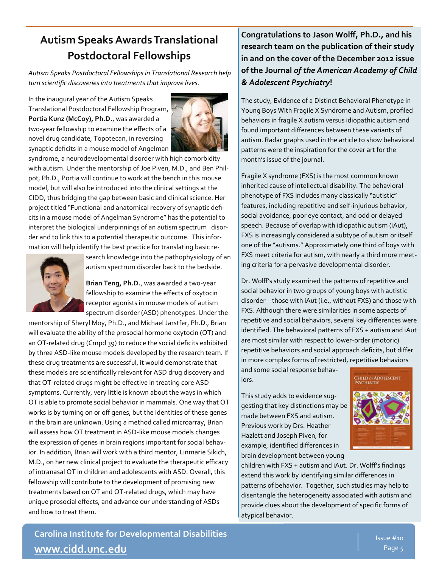### **Autism Speaks Awards Translational Postdoctoral Fellowships**

*Autism Speaks Postdoctoral Fellowships in Translational Research help turn scientific discoveries into treatments that improve lives.* 

In the inaugural year of the Autism Speaks Translational Postdoctoral Fellowship Program, **Portia Kunz (McCoy), Ph.D.**, was awarded a two-year fellowship to examine the effects of a novel drug candidate, Topotecan, in reversing synaptic deficits in a mouse model of Angelman



syndrome, a neurodevelopmental disorder with high comorbidity with autism. Under the mentorship of Joe Piven, M.D., and Ben Philpot, Ph.D., Portia will continue to work at the bench in this mouse model, but will also be introduced into the clinical settings at the CIDD, thus bridging the gap between basic and clinical science. Her project titled "Functional and anatomical recovery of synaptic deficits in a mouse model of Angelman Syndrome" has the potential to interpret the biological underpinnings of an autism spectrum disorder and to link this to a potential therapeutic outcome. This information will help identify the best practice for translating basic re-



search knowledge into the pathophysiology of an autism spectrum disorder back to the bedside.

**Brian Teng, Ph.D.**, was awarded a two-year fellowship to examine the effects of oxytocin receptor agonists in mouse models of autism spectrum disorder (ASD) phenotypes. Under the

mentorship of Sheryl Moy, Ph.D., and Michael Jarstfer, Ph.D., Brian will evaluate the ability of the prosocial hormone oxytocin (OT) and an OT-related drug (Cmpd 39) to reduce the social deficits exhibited by three ASD-like mouse models developed by the research team. If these drug treatments are successful, it would demonstrate that these models are scientifically relevant for ASD drug discovery and that OT-related drugs might be effective in treating core ASD symptoms. Currently, very little is known about the ways in which OT is able to promote social behavior in mammals. One way that OT works is by turning on or off genes, but the identities of these genes in the brain are unknown. Using a method called microarray, Brian will assess how OT treatment in ASD-like mouse models changes the expression of genes in brain regions important for social behavior. In addition, Brian will work with a third mentor, Linmarie Sikich, M.D., on her new clinical project to evaluate the therapeutic efficacy of intranasal OT in children and adolescents with ASD. Overall, this fellowship will contribute to the development of promising new treatments based on OT and OT-related drugs, which may have unique prosocial effects, and advance our understanding of ASDs and how to treat them.

**Congratulations to Jason Wolff, Ph.D., and his research team on the publication of their study in and on the cover of the December 2012 issue of the Journal** *of the American Academy of Child & Adolescent Psychiatry***!**

The study, Evidence of a Distinct Behavioral Phenotype in Young Boys With Fragile X Syndrome and Autism, profiled behaviors in fragile X autism versus idiopathic autism and found important differences between these variants of autism. Radar graphs used in the article to show behavioral patterns were the inspiration for the cover art for the month's issue of the journal.

Fragile X syndrome (FXS) is the most common known inherited cause of intellectual disability. The behavioral phenotype of FXS includes many classically "autistic" features, including repetitive and self-injurious behavior, social avoidance, poor eye contact, and odd or delayed speech. Because of overlap with idiopathic autism (iAut), FXS is increasingly considered a subtype of autism or itself one of the "autisms." Approximately one third of boys with FXS meet criteria for autism, with nearly a third more meeting criteria for a pervasive developmental disorder.

Dr. Wolff's study examined the patterns of repetitive and social behavior in two groups of young boys with autistic disorder – those with iAut (i.e., without FXS) and those with FXS. Although there were similarities in some aspects of repetitive and social behaviors, several key differences were identified. The behavioral patterns of FXS + autism and iAut are most similar with respect to lower-order (motoric) repetitive behaviors and social approach deficits, but differ in more complex forms of restricted, repetitive behaviors

and some social response behaviors.

This study adds to evidence suggesting that key distinctions may be made between FXS and autism. Previous work by Drs. Heather Hazlett and Joseph Piven, for example, identified differences in brain development between young



children with FXS + autism and iAut. Dr. Wolff's findings extend this work by identifying similar differences in patterns of behavior. Together, such studies may help to disentangle the heterogeneity associated with autism and provide clues about the development of specific forms of atypical behavior.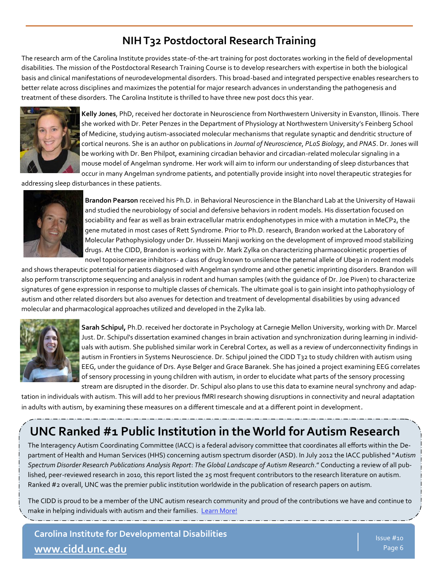#### **NIH T32 Postdoctoral Research Training**

The research arm of the Carolina Institute provides state-of-the-art training for post doctorates working in the field of developmental disabilities. The mission of the Postdoctoral Research Training Course is to develop researchers with expertise in both the biological basis and clinical manifestations of neurodevelopmental disorders. This broad-based and integrated perspective enables researchers to better relate across disciplines and maximizes the potential for major research advances in understanding the pathogenesis and treatment of these disorders. The Carolina Institute is thrilled to have three new post docs this year.



**Kelly Jones**, PhD, received her doctorate in Neuroscience from Northwestern University in Evanston, Illinois. There she worked with Dr. Peter Penzes in the Department of Physiology at Northwestern University's Feinberg School of Medicine, studying autism-associated molecular mechanisms that regulate synaptic and dendritic structure of cortical neurons. She is an author on publications in *Journal of Neuroscience*, *PLoS Biology*, and *PNAS*. Dr. Jones will be working with Dr. Ben Philpot, examining circadian behavior and circadian-related molecular signaling in a mouse model of Angelman syndrome. Her work will aim to inform our understanding of sleep disturbances that occur in many Angelman syndrome patients, and potentially provide insight into novel therapeutic strategies for

addressing sleep disturbances in these patients.



**Brandon Pearson** received his Ph.D. in Behavioral Neuroscience in the Blanchard Lab at the University of Hawaii and studied the neurobiology of social and defensive behaviors in rodent models. His dissertation focused on sociability and fear as well as brain extracellular matrix endophenotypes in mice with a mutation in MeCP2, the gene mutated in most cases of Rett Syndrome. Prior to Ph.D. research, Brandon worked at the Laboratory of Molecular Pathophysiology under Dr. Husseini Manji working on the development of improved mood stabilizing drugs. At the CIDD, Brandon is working with Dr. Mark Zylka on characterizing pharmaocokinetic properties of novel topoisomerase inhibitors- a class of drug known to unsilence the paternal allele of Ube3a in rodent models

and shows therapeutic potential for patients diagnosed with Angelman syndrome and other genetic imprinting disorders. Brandon will also perform transcriptome sequencing and analysis in rodent and human samples (with the guidance of Dr. Joe Piven) to characterize signatures of gene expression in response to multiple classes of chemicals. The ultimate goal is to gain insight into pathophysiology of autism and other related disorders but also avenues for detection and treatment of developmental disabilities by using advanced molecular and pharmacological approaches utilized and developed in the Zylka lab.



**Sarah Schipul,** Ph.D. received her doctorate in Psychology at Carnegie Mellon University, working with Dr. Marcel Just. Dr. Schipul's dissertation examined changes in brain activation and synchronization during learning in individuals with autism. She published similar work in Cerebral Cortex, as well as a review of underconnectivity findings in autism in Frontiers in Systems Neuroscience. Dr. Schipul joined the CIDD T32 to study children with autism using EEG, under the guidance of Drs. Ayse Belger and Grace Baranek. She has joined a project examining EEG correlates of sensory processing in young children with autism, in order to elucidate what parts of the sensory processing stream are disrupted in the disorder. Dr. Schipul also plans to use this data to examine neural synchrony and adap-

tation in individuals with autism. This will add to her previous fMRI research showing disruptions in connectivity and neural adaptation in adults with autism, by examining these measures on a different timescale and at a different point in development.

## **UNC Ranked #1 Public Institution in the World for Autism Research**

The Interagency Autism Coordinating Committee (IACC) is a federal advisory committee that coordinates all efforts within the Department of Health and Human Services (HHS) concerning autism spectrum disorder (ASD). In July 2012 the IACC published "*Autism Spectrum Disorder Research Publications Analysis Report*: *The Global Landscape of Autism Research*." Conducting a review of all published, peer-reviewed research in 2010, this report listed the 25 most frequent contributors to the research literature on autism. Ranked #2 overall, UNC was the premier public institution worldwide in the publication of research papers on autism.

The CIDD is proud to be a member of the UNC autism research community and proud of the contributions we have and continue to make in helping individuals with autism and their families. [Learn More!](http://www.cidd.unc.edu/UNC_1_Autism_Research.pdf)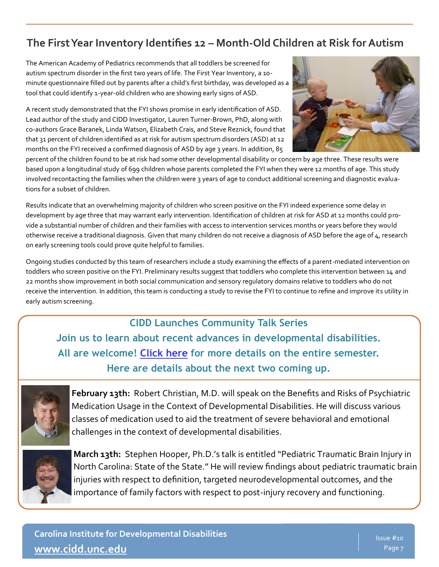#### **The First Year Inventory Identifies 12 – Month-Old Children at Risk for Autism**

The American Academy of Pediatrics recommends that all toddlers be screened for autism spectrum disorder in the first two years of life. The First Year Inventory, a 10 minute questionnaire filled out by parents after a child's first birthday, was developed as a tool that could identify 1-year-old children who are showing early signs of ASD.

A recent study demonstrated that the FYI shows promise in early identification of ASD. Lead author of the study and CIDD Investigator, Lauren Turner-Brown, PhD, along with co-authors Grace Baranek, Linda Watson, Elizabeth Crais, and Steve Reznick, found that that 31 percent of children identified as at risk for autism spectrum disorders (ASD) at 12 months on the FYI received a confirmed diagnosis of ASD by age 3 years. In addition, 85



percent of the children found to be at risk had some other developmental disability or concern by age three. These results were based upon a longitudinal study of 699 children whose parents completed the FYI when they were 12 months of age. This study involved recontacting the families when the children were 3 years of age to conduct additional screening and diagnostic evaluations for a subset of children.

Results indicate that an overwhelming majority of children who screen positive on the FYI indeed experience some delay in development by age three that may warrant early intervention. Identification of children at risk for ASD at 12 months could provide a substantial number of children and their families with access to intervention services months or years before they would otherwise receive a traditional diagnosis. Given that many children do not receive a diagnosis of ASD before the age of 4, research on early screening tools could prove quite helpful to families.

Ongoing studies conducted by this team of researchers include a study examining the effects of a parent-mediated intervention on toddlers who screen positive on the FYI. Preliminary results suggest that toddlers who complete this intervention between 14 and 22 months show improvement in both social communication and sensory regulatory domains relative to toddlers who do not receive the intervention. In addition, this team is conducting a study to revise the FYI to continue to refine and improve its utility in early autism screening.

#### **CIDD Launches Community Talk Series**

**Join us to learn about recent advances in developmental disabilities. All are welcome! [Click here](http://www.cidd.unc.edu/Education/default.aspx?id=49) for more details on the entire semester. Here are details about the next two coming up.** 



**February 13th:** Robert Christian, M.D. will speak on the Benefits and Risks of Psychiatric Medication Usage in the Context of Developmental Disabilities. He will discuss various classes of medication used to aid the treatment of severe behavioral and emotional challenges in the context of developmental disabilities.



**March 13th:** Stephen Hooper, Ph.D.'s talk is entitled "Pediatric Traumatic Brain Injury in North Carolina: State of the State." He will review findings about pediatric traumatic brain injuries with respect to definition, targeted neurodevelopmental outcomes, and the importance of family factors with respect to post-injury recovery and functioning.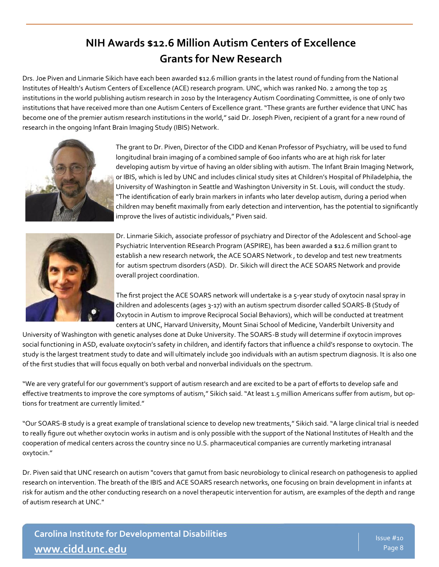### **NIH Awards \$12.6 Million Autism Centers of Excellence Grants for New Research**

Drs. Joe Piven and Linmarie Sikich have each been awarded \$12.6 million grants in the latest round of funding from the National Institutes of Health's Autism Centers of Excellence (ACE) research program. UNC, which was [ranked No. 2 among the top 25](http://iacc.hhs.gov/publications-analysis/july2012/chapter-four.shtml#chapter-four-institutions)  [institutions in the world publishing autism research](http://iacc.hhs.gov/publications-analysis/july2012/chapter-four.shtml#chapter-four-institutions) in 2010 by the Interagency Autism Coordinating Committee, is one of only two institutions that have received more than one Autism Centers of Excellence grant. "These grants are further evidence that UNC has become one of the premier autism research institutions in the world," said [Dr. Joseph Piven,](http://www.cidd.unc.edu/piven/) recipient of a grant for a new round of research in the ongoing [Infant Brain Imaging Study \(IBIS\) Network.](http://www.ibisnetwork.org/)



The grant to Dr. Piven, Director of the CIDD and Kenan Professor of Psychiatry, will be used to fund longitudinal brain imaging of a combined sample of 600 infants who are at high risk for later developing autism by virtue of having an older sibling with autism. The Infant Brain Imaging Network, or IBIS, which is led by UNC and includes clinical study sites at Children's Hospital of Philadelphia, the University of Washington in Seattle and Washington University in St. Louis, will conduct the study. "The identification of early brain markers in infants who later develop autism, during a period when children may benefit maximally from early detection and intervention, has the potential to significantly improve the lives of autistic individuals," Piven said.



[Dr. Linmarie Sikich,](https://www.med.unc.edu/psych/directories/faculty/linmarie-sikich-m-d) associate professor of psychiatry and Director of the [Adolescent and School](http://www.med.unc.edu/psych/aspire)-age [Psychiatric Intervention REsearch Program \(ASPIRE\),](http://www.med.unc.edu/psych/aspire) has been awarded a \$12.6 million grant to establish a new research network, the ACE SOARS Network , to develop and test new treatments for autism spectrum disorders (ASD). Dr. Sikich will direct the ACE SOARS Network and provide overall project coordination.

The first project the ACE SOARS network will undertake is a 5-year study of oxytocin nasal spray in children and adolescents (ages 3-17) with an autism spectrum disorder called SOARS-[B \(Study of](http://www.med.unc.edu/psych/aspire/soars)  [Oxytocin in Autism to improve Reciprocal Social Behaviors\),](http://www.med.unc.edu/psych/aspire/soars) which will be conducted at treatment centers at UNC, Harvard University, Mount Sinai School of Medicine, Vanderbilt University and

University of Washington with genetic analyses done at Duke University. The SOARS-B study will determine if oxytocin improves social functioning in ASD, evaluate oxytocin's safety in children, and identify factors that influence a child's response to oxytocin. The study is the largest treatment study to date and will ultimately include 300 individuals with an autism spectrum diagnosis. It is also one of the first studies that will focus equally on both verbal and nonverbal individuals on the spectrum.

"We are very grateful for our government's support of autism research and are excited to be a part of efforts to develop safe and effective treatments to improve the core symptoms of autism," Sikich said. "At least 1.5 million Americans suffer from autism, but options for treatment are currently limited."

"Our SOARS-B study is a great example of translational science to develop new treatments," Sikich said. "A large clinical trial is needed to really figure out whether oxytocin works in autism and is only possible with the support of the National Institutes of Health and the cooperation of medical centers across the country since no U.S. pharmaceutical companies are currently marketing intranasal oxytocin."

Dr. Piven said that UNC research on autism "covers that gamut from basic neurobiology to clinical research on pathogenesis to applied research on intervention. The breath of the IBIS and ACE SOARS research networks, one focusing on brain development in infants at risk for autism and the other conducting research on a novel therapeutic intervention for autism, are examples of the depth and range of autism research at UNC."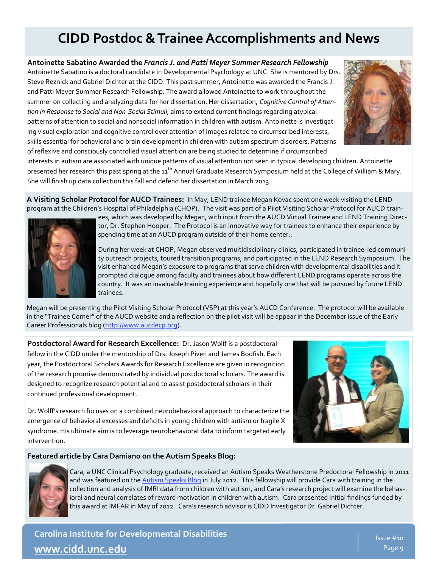## **CIDD Postdoc & Trainee Accomplishments and News**

**Antoinette Sabatino Awarded the** *Francis J. and Patti Meyer Summer Research Fellowship* Antoinette Sabatino is a doctoral candidate in Developmental Psychology at UNC. She is mentored by Drs. Steve Reznick and Gabriel Dichter at the CIDD. This past summer, Antoinette was awarded the Francis J. and Patti Meyer Summer Research Fellowship. The award allowed Antoinette to work throughout the summer on collecting and analyzing data for her dissertation. Her dissertation, *Cognitive Control of Attention in Response to Social and Non-Social Stimuli*, aims to extend current findings regarding atypical patterns of attention to social and nonsocial information in children with autism. Antoinette is investigating visual exploration and cognitive control over attention of images related to circumscribed interests, skills essential for behavioral and brain development in children with autism spectrum disorders. Patterns of reflexive and consciously controlled visual attention are being studied to determine if circumscribed



interests in autism are associated with unique patterns of visual attention not seen in typical developing children. Antoinette presented her research this past spring at the 11<sup>th</sup> Annual Graduate Research Symposium held at the College of William & Mary. She will finish up data collection this fall and defend her dissertation in March 2013.

**A Visiting Scholar Protocol for AUCD Trainees:** In May, LEND trainee Megan Kovac spent one week visiting the LEND program at the Children's Hospital of Philadelphia (CHOP). The visit was part of a Pilot Visiting Scholar Protocol for AUCD train-



ees, which was developed by Megan, with input from the AUCD Virtual Trainee and LEND Training Director, Dr. Stephen Hooper. The Protocol is an innovative way for trainees to enhance their experience by spending time at an AUCD program outside of their home center..

During her week at CHOP, Megan observed multidisciplinary clinics, participated in trainee-led community outreach projects, toured transition programs, and participated in the LEND Research Symposium. The visit enhanced Megan's exposure to programs that serve children with developmental disabilities and it prompted dialogue among faculty and trainees about how different LEND programs operate across the country. It was an invaluable training experience and hopefully one that will be pursued by future LEND trainees.

Megan will be presenting the Pilot Visiting Scholar Protocol (VSP) at this year's AUCD Conference. The protocol will be available in the "Trainee Corner" of the AUCD website and a reflection on the pilot visit will be appear in the December issue of the Early Career Professionals blog ([http://www.aucdecp.org\).](http://www.aucdecp.org)

**Postdoctoral Award for Research Excellence:** Dr. Jason Wolff is a postdoctoral fellow in the CIDD under the mentorship of Drs. Joseph Piven and James Bodfish. Each year, the Postdoctoral Scholars Awards for Research Excellence are given in recognition of the research promise demonstrated by individual postdoctoral scholars. The award is designed to recognize research potential and to assist postdoctoral scholars in their continued professional development.



Dr. Wolff's research focuses on a combined neurobehavioral approach to characterize the emergence of behavioral excesses and deficits in young children with autism or fragile X syndrome. His ultimate aim is to leverage neurobehavioral data to inform targeted early intervention.

#### **Featured article by Cara Damiano on the Autism Speaks Blog:**



*Continued on page 5* this award at IMFAR in May of 2012. Cara's research advisor is CIDD Investigator Dr. Gabriel Dichter. Cara, a UNC Clinical Psychology graduate, received an Autism Speaks Weatherstone Predoctoral Fellowship in 2011 and was featured on the [Autism Speaks Blog](http://www.autismspeaks.org/blog/2012/07/10/autism-motivation-and-hard-work) in July 2012. This fellowship will provide Cara with training in the collection and analysis of fMRI data from children with autism, and Cara's research project will examine the behavioral and neural correlates of reward motivation in children with autism. Cara presented initial findings funded by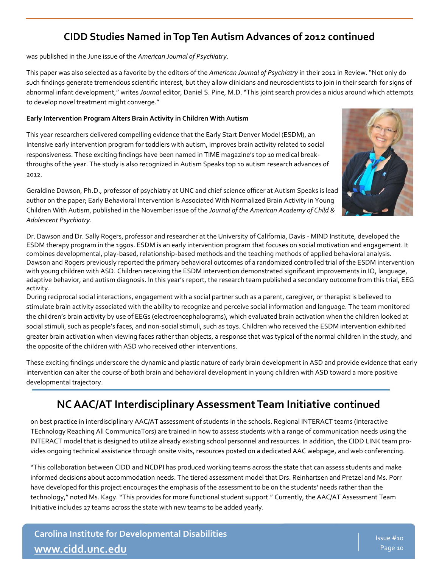#### **CIDD Studies Named in Top Ten Autism Advances of 2012 continued**

was published in the June issue of the *American Journal of Psychiatry*.

This paper was also selected as a favorite by the editors of the *American Journal of Psychiatry* in their 2012 in Review. "Not only do such findings generate tremendous scientific interest, but they allow clinicians and neuroscientists to join in their search for signs of abnormal infant development," writes *Journal* editor, Daniel S. Pine, M.D. "This joint search provides a nidus around which attempts to develop novel treatment might converge."

#### **Early Intervention Program Alters Brain Activity in Children With Autism**

This year researchers delivered compelling evidence that the Early Start Denver Model (ESDM), an Intensive early intervention program for toddlers with autism, improves brain activity related to social responsiveness. These exciting findings have been named in TIME magazine's top 10 medical breakthroughs of the year. The study is also recognized in Autism Speaks top 10 autism research advances of 2012.



Geraldine Dawson, Ph.D., professor of psychiatry at UNC and chief science officer at Autism Speaks is lead author on the paper; Early Behavioral Intervention Is Associated With Normalized Brain Activity in Young Children With Autism, published in the November issue of the *Journal of the American Academy of Child & Adolescent Psychiatry*.

Dr. Dawson and Dr. Sally Rogers, professor and researcher at the University of California, Davis - MIND Institute, developed the ESDM therapy program in the 1990s. ESDM is an early intervention program that focuses on social motivation and engagement. It combines developmental, play-based, relationship-based methods and the teaching methods of applied behavioral analysis. Dawson and Rogers previously reported the primary behavioral outcomes of a randomized controlled trial of the ESDM intervention with young children with ASD. Children receiving the ESDM intervention demonstrated significant improvements in IQ, language, adaptive behavior, and autism diagnosis. In this year's report, the research team published a secondary outcome from this trial, EEG activity.

During reciprocal social interactions, engagement with a social partner such as a parent, caregiver, or therapist is believed to stimulate brain activity associated with the ability to recognize and perceive social information and language. The team monitored the children's brain activity by use of EEGs (electroencephalograms), which evaluated brain activation when the children looked at social stimuli, such as people's faces, and non-social stimuli, such as toys. Children who received the ESDM intervention exhibited greater brain activation when viewing faces rather than objects, a response that was typical of the normal children in the study, and the opposite of the children with ASD who received other interventions.

These exciting findings underscore the dynamic and plastic nature of early brain development in ASD and provide evidence that early intervention can alter the course of both brain and behavioral development in young children with ASD toward a more positive developmental trajectory.

#### **NC AAC/AT Interdisciplinary Assessment Team Initiative continued**

on best practice in interdisciplinary AAC/AT assessment of students in the schools. Regional INTERACT teams (Interactive TEchnology Reaching All CommunicaTors) are trained in how to assess students with a range of communication needs using the INTERACT model that is designed to utilize already existing school personnel and resources. In addition, the CIDD LINK team provides ongoing technical assistance through onsite visits, resources posted on a dedicated AAC webpage, and web conferencing.

"This collaboration between CIDD and NCDPI has produced working teams across the state that can assess students and make informed decisions about accommodation needs. The tiered assessment model that Drs. Reinhartsen and Pretzel and Ms. Porr have developed for this project encourages the emphasis of the assessment to be on the students' needs rather than the technology," noted Ms. Kagy. "This provides for more functional student support." Currently, the AAC/AT Assessment Team Initiative includes 27 teams across the state with new teams to be added yearly.